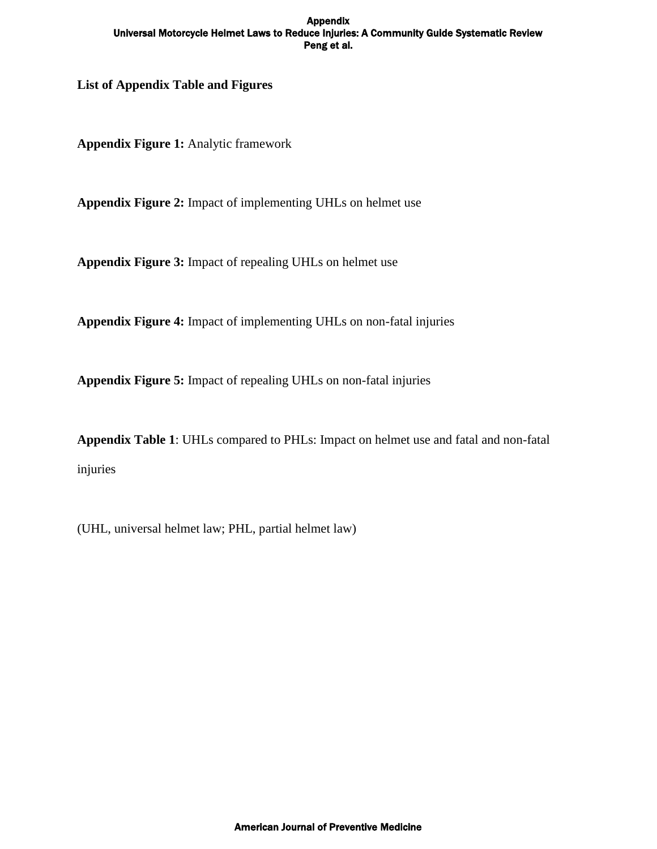**List of Appendix Table and Figures**

**Appendix Figure 1:** Analytic framework

**Appendix Figure 2:** Impact of implementing UHLs on helmet use

**Appendix Figure 3:** Impact of repealing UHLs on helmet use

**Appendix Figure 4:** Impact of implementing UHLs on non-fatal injuries

**Appendix Figure 5:** Impact of repealing UHLs on non-fatal injuries

**Appendix Table 1**: UHLs compared to PHLs: Impact on helmet use and fatal and non-fatal injuries

(UHL, universal helmet law; PHL, partial helmet law)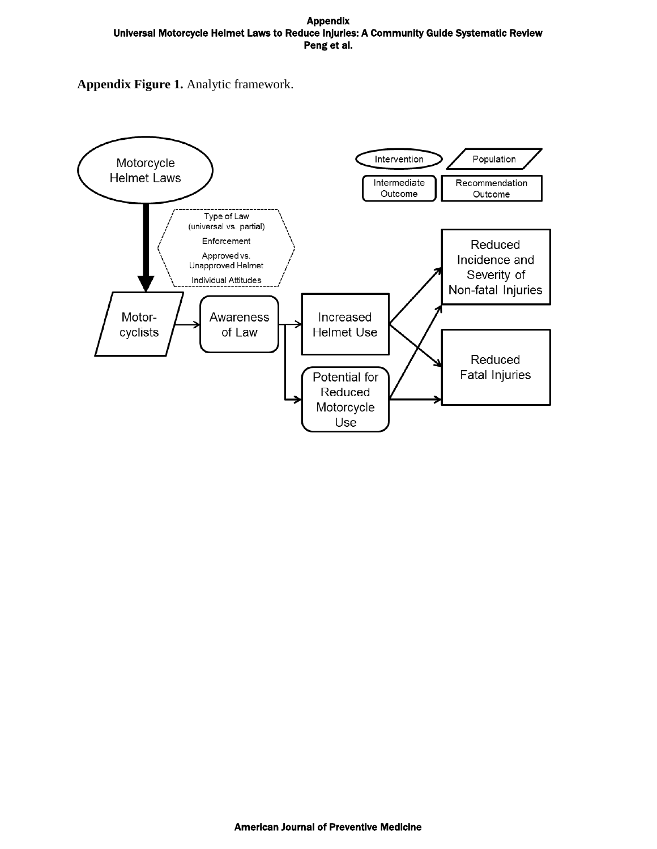**Appendix Figure 1.** Analytic framework.

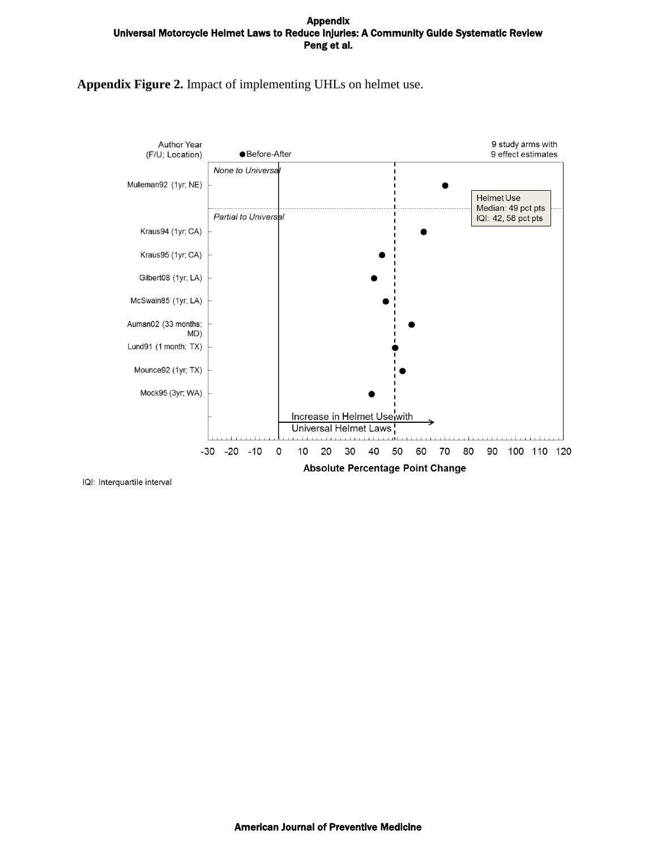## **Appendix Figure 2.** Impact of implementing UHLs on helmet use.

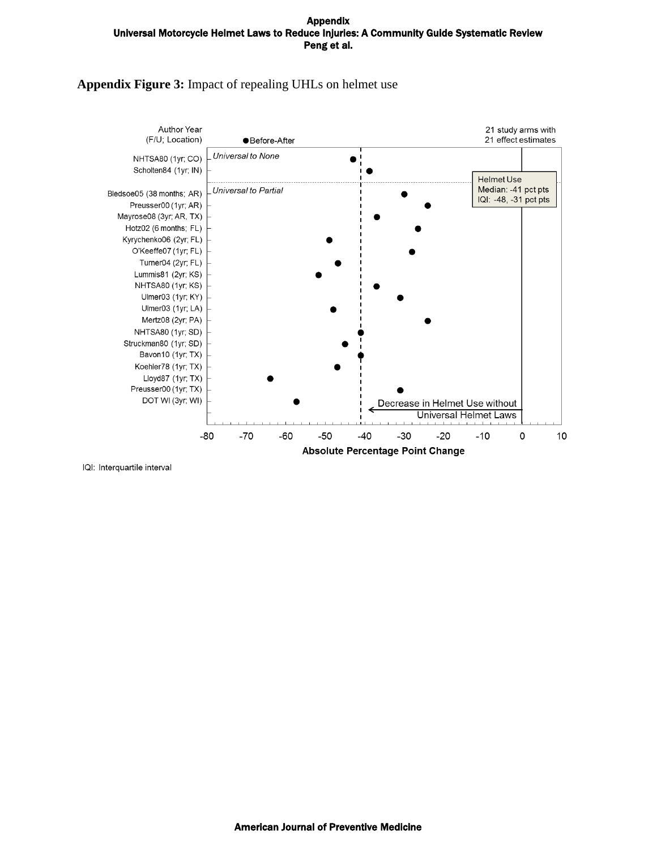### **Appendix Figure 3:** Impact of repealing UHLs on helmet use

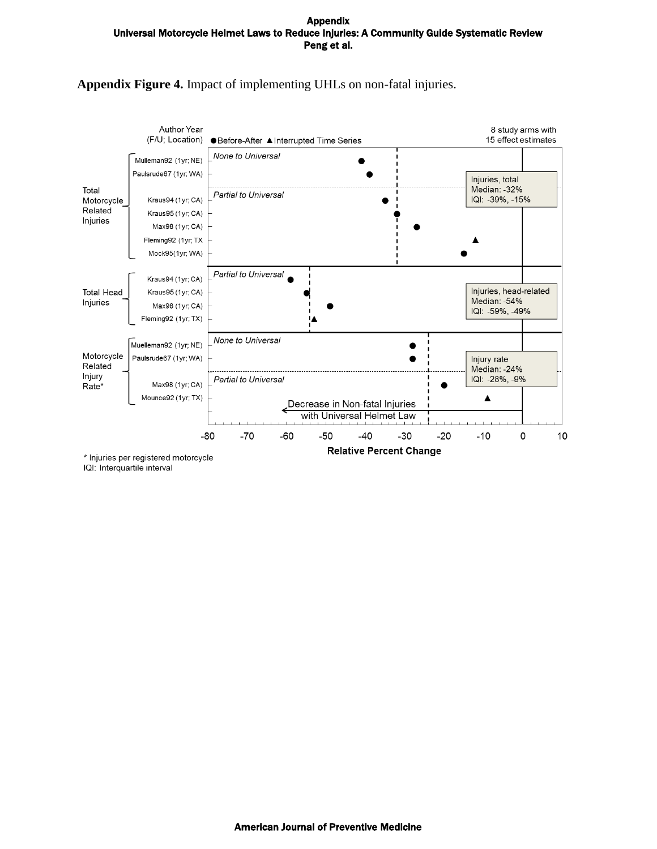

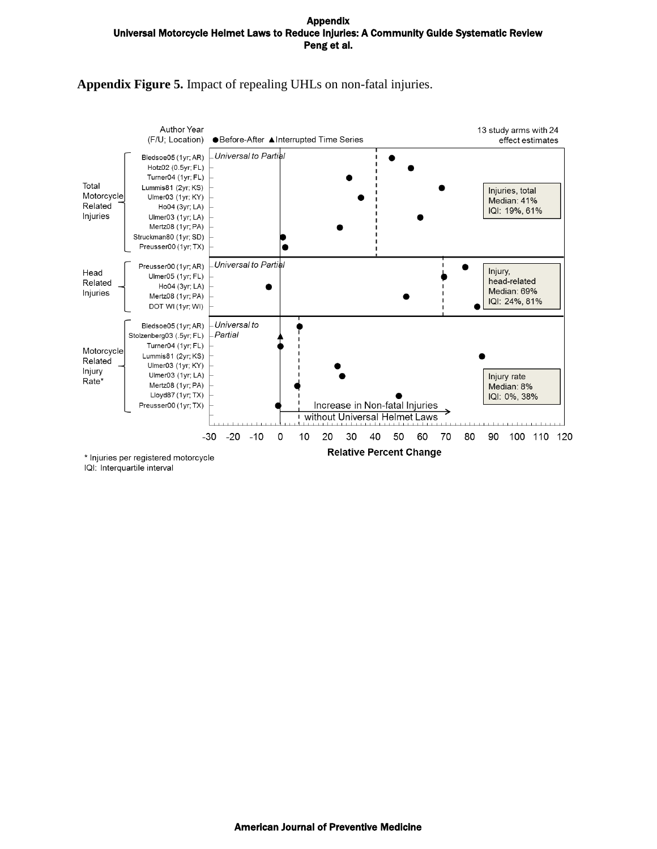## **Appendix Figure 5.** Impact of repealing UHLs on non-fatal injuries.

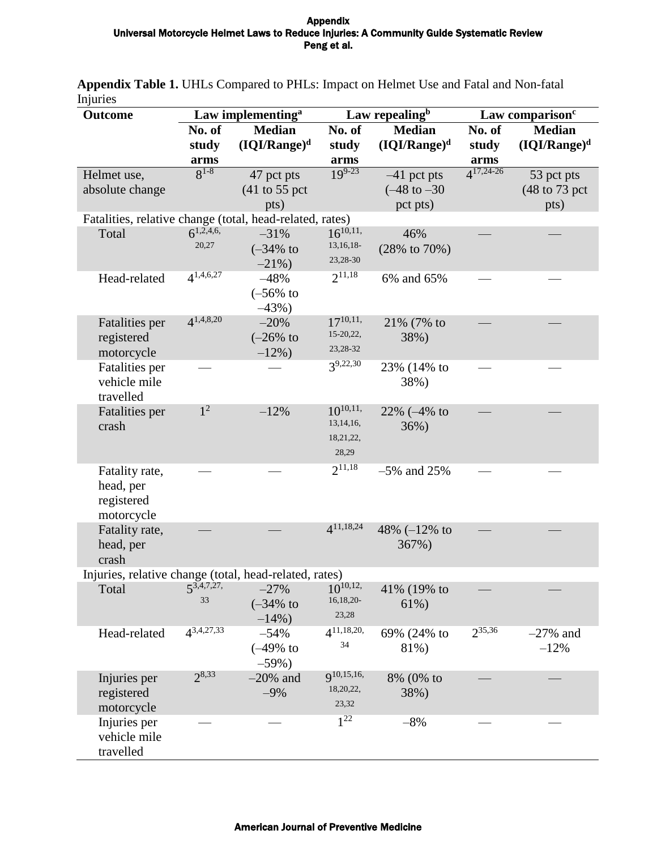| ուլաււշջ<br><b>Outcome</b>                               | Law implementing <sup>a</sup> |                                   | Law repealing <sup>b</sup>    |                           | Law comparison <sup>c</sup> |                 |
|----------------------------------------------------------|-------------------------------|-----------------------------------|-------------------------------|---------------------------|-----------------------------|-----------------|
|                                                          | No. of                        | <b>Median</b>                     | No. of                        | <b>Median</b>             | No. of                      | <b>Median</b>   |
|                                                          | study                         | $(IQI/Range)^d$                   | study                         | $(IQI/Range)^d$           | study                       | $(IQI/Range)^d$ |
|                                                          | arms                          |                                   | arms                          |                           | arms                        |                 |
| Helmet use,                                              | $8^{1-8}$                     | 47 pct pts                        | $19^{9-23}$                   | $-41$ pct pts             | $4^{17,24-26}$              | 53 pct pts      |
| absolute change                                          |                               | $(41 \text{ to } 55 \text{ pct})$ |                               | $(-48 \text{ to } -30)$   |                             | (48 to 73 pct)  |
|                                                          |                               | pts)                              |                               | pct pts)                  |                             | pts)            |
| Fatalities, relative change (total, head-related, rates) |                               |                                   |                               |                           |                             |                 |
| Total                                                    | $6^{1,2,4,6}$                 | $-31%$                            | $16^{10,11}$                  | 46%                       |                             |                 |
|                                                          | 20,27                         | $(-34\% \text{ to }$              | 13, 16, 18-                   | $(28\% \text{ to } 70\%)$ |                             |                 |
|                                                          |                               | $-21\%$ )                         | 23,28-30                      |                           |                             |                 |
| Head-related                                             | $4^{1,4,6,27}$                | $-48%$                            | $2^{11,18}$                   | 6% and 65%                |                             |                 |
|                                                          |                               | $(-56%$ to                        |                               |                           |                             |                 |
|                                                          |                               | $-43%$ )                          |                               |                           |                             |                 |
| <b>Fatalities</b> per                                    | $4^{1,4,8,20}$                | $-20%$                            | $17^{10,11}$                  | 21% (7% to                |                             |                 |
| registered                                               |                               | $(-26%$ to                        | 15-20,22,                     | 38%)                      |                             |                 |
| motorcycle                                               |                               | $-12\%$ )                         | 23, 28 - 32                   |                           |                             |                 |
| Fatalities per                                           |                               |                                   | $3^{9,22,30}$                 | 23% (14% to               |                             |                 |
| vehicle mile                                             |                               |                                   |                               | 38%)                      |                             |                 |
| travelled                                                |                               |                                   | $10^{10,11}$                  |                           |                             |                 |
| Fatalities per                                           | 1 <sup>2</sup>                | $-12%$                            | 13, 14, 16,                   | $22\% (-4\% \text{ to }$  |                             |                 |
| crash                                                    |                               |                                   | 18,21,22,                     | 36%)                      |                             |                 |
|                                                          |                               |                                   | 28,29                         |                           |                             |                 |
|                                                          |                               |                                   | $2^{11,18}$                   |                           |                             |                 |
| Fatality rate,                                           |                               |                                   |                               | $-5\%$ and 25%            |                             |                 |
| head, per                                                |                               |                                   |                               |                           |                             |                 |
| registered<br>motorcycle                                 |                               |                                   |                               |                           |                             |                 |
| Fatality rate,                                           |                               |                                   | $4^{11,18,24}$                | 48% $(-12%$ to            |                             |                 |
| head, per                                                |                               |                                   |                               | 367%)                     |                             |                 |
| crash                                                    |                               |                                   |                               |                           |                             |                 |
| Injuries, relative change (total, head-related, rates)   |                               |                                   |                               |                           |                             |                 |
| Total                                                    | $5^{3,4,7,27}$                | $-27%$                            | $10^{10,12,}$                 | 41% (19% to               |                             |                 |
|                                                          | 33                            | $(-34\% \text{ to }$              | 16,18,20-                     | $61\%)$                   |                             |                 |
|                                                          |                               | $-14\%$ )                         | 23,28                         |                           |                             |                 |
| Head-related                                             | $4^{3,4,27,33}$               | $-54%$                            | $\frac{\Delta^{11,18,20}}{4}$ | 69% (24% to               | 235,36                      | $-27\%$ and     |
|                                                          |                               | $(-49%$ to                        | 34                            | 81%)                      |                             | $-12%$          |
|                                                          |                               | $-59%$ )                          |                               |                           |                             |                 |
| Injuries per                                             | $2^{8,33}$                    | $-20\%$ and                       | q10,15,16,                    | 8% (0% to                 |                             |                 |
| registered                                               |                               | $-9%$                             | 18,20,22,                     | 38%)                      |                             |                 |
| motorcycle                                               |                               |                                   | 23,32                         |                           |                             |                 |
| Injuries per                                             |                               |                                   | $1^{22}$                      | $-8%$                     |                             |                 |
| vehicle mile                                             |                               |                                   |                               |                           |                             |                 |
| travelled                                                |                               |                                   |                               |                           |                             |                 |

**Appendix Table 1.** UHLs Compared to PHLs: Impact on Helmet Use and Fatal and Non-fatal **Injuries**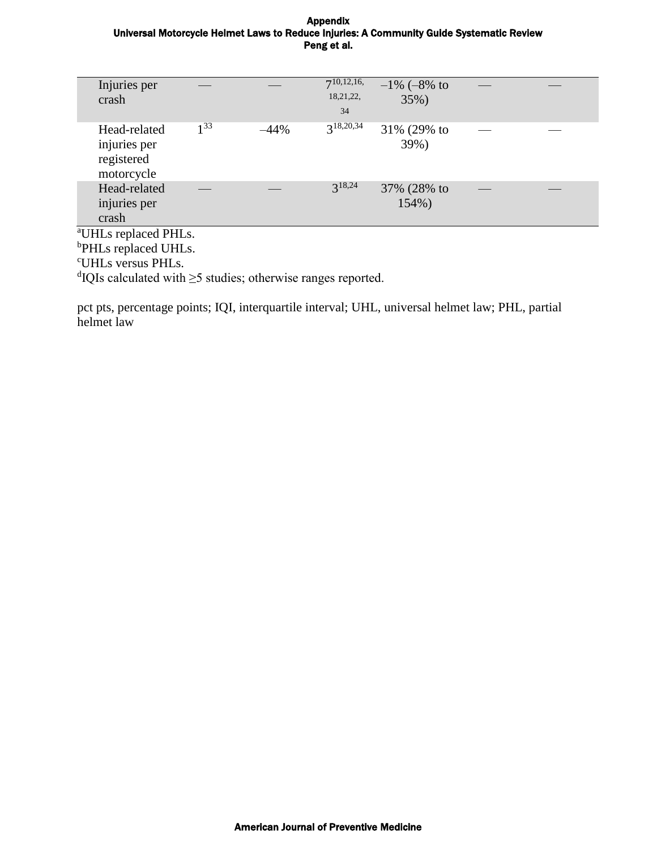| Injuries per<br>crash                                    |          |        | $7^{10,12,16}$<br>18,21,22,<br>34 | $-1\% (-8\% \text{ to }$<br>35%) |  |  |  |
|----------------------------------------------------------|----------|--------|-----------------------------------|----------------------------------|--|--|--|
| Head-related<br>injuries per<br>registered<br>motorcycle | $1^{33}$ | $-44%$ | $3^{18,20,34}$                    | 31% (29% to<br>39%)              |  |  |  |
| Head-related<br>injuries per<br>crash                    |          |        | $3^{18,24}$                       | 37% (28% to<br>154%)             |  |  |  |
| <sup>a</sup> UHLs replaced PHLs.                         |          |        |                                   |                                  |  |  |  |
|                                                          |          |        |                                   |                                  |  |  |  |
| <sup>b</sup> PHLs replaced UHLs.                         |          |        |                                   |                                  |  |  |  |
| $C$ IIII $\ldots \ldots \ldots$ DIII $\ldots$            |          |        |                                   |                                  |  |  |  |

<sup>c</sup>UHLs versus PHLs.

d IQIs calculated with ≥5 studies; otherwise ranges reported.

pct pts, percentage points; IQI, interquartile interval; UHL, universal helmet law; PHL, partial helmet law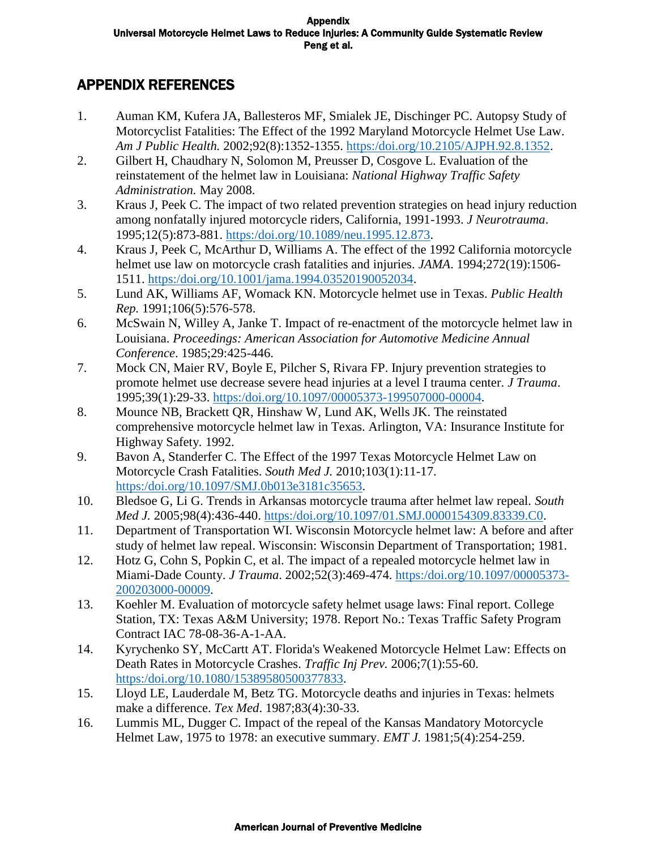# APPENDIX REFERENCES

- 1. Auman KM, Kufera JA, Ballesteros MF, Smialek JE, Dischinger PC. Autopsy Study of Motorcyclist Fatalities: The Effect of the 1992 Maryland Motorcycle Helmet Use Law. *Am J Public Health.* 2002;92(8):1352-1355. [https:/doi.org/10.2105/AJPH.92.8.1352.](https://doi.org/10.2105/AJPH.92.8.1352)
- 2. Gilbert H, Chaudhary N, Solomon M, Preusser D, Cosgove L. Evaluation of the reinstatement of the helmet law in Louisiana: *National Highway Traffic Safety Administration.* May 2008.
- 3. Kraus J, Peek C. The impact of two related prevention strategies on head injury reduction among nonfatally injured motorcycle riders, California, 1991-1993. *J Neurotrauma*. 1995;12(5):873-881. [https:/doi.org/10.1089/neu.1995.12.873.](https://doi.org/10.1089/neu.1995.12.873)
- 4. Kraus J, Peek C, McArthur D, Williams A. The effect of the 1992 California motorcycle helmet use law on motorcycle crash fatalities and injuries. *JAMA*. 1994;272(19):1506- 1511. [https:/doi.org/10.1001/jama.1994.03520190052034.](https://doi.org/10.1001/jama.1994.03520190052034)
- 5. Lund AK, Williams AF, Womack KN. Motorcycle helmet use in Texas. *Public Health Rep.* 1991;106(5):576-578.
- 6. McSwain N, Willey A, Janke T. Impact of re-enactment of the motorcycle helmet law in Louisiana. *Proceedings: American Association for Automotive Medicine Annual Conference*. 1985;29:425-446.
- 7. Mock CN, Maier RV, Boyle E, Pilcher S, Rivara FP. Injury prevention strategies to promote helmet use decrease severe head injuries at a level I trauma center. *J Trauma*. 1995;39(1):29-33. [https:/doi.org/10.1097/00005373-199507000-00004.](https://doi.org/10.1097/00005373-199507000-00004)
- 8. Mounce NB, Brackett QR, Hinshaw W, Lund AK, Wells JK. The reinstated comprehensive motorcycle helmet law in Texas. Arlington, VA: Insurance Institute for Highway Safety*.* 1992.
- 9. Bavon A, Standerfer C. The Effect of the 1997 Texas Motorcycle Helmet Law on Motorcycle Crash Fatalities. *South Med J.* 2010;103(1):11-17. [https:/doi.org/10.1097/SMJ.0b013e3181c35653.](https://doi.org/10.1097/SMJ.0b013e3181c35653)
- 10. Bledsoe G, Li G. Trends in Arkansas motorcycle trauma after helmet law repeal. *South Med J.* 2005;98(4):436-440. [https:/doi.org/10.1097/01.SMJ.0000154309.83339.C0.](https://doi.org/10.1097/01.SMJ.0000154309.83339.C0)
- 11. Department of Transportation WI. Wisconsin Motorcycle helmet law: A before and after study of helmet law repeal. Wisconsin: Wisconsin Department of Transportation; 1981.
- 12. Hotz G, Cohn S, Popkin C, et al. The impact of a repealed motorcycle helmet law in Miami-Dade County. *J Trauma*. 2002;52(3):469-474. [https:/doi.org/10.1097/00005373-](https://doi.org/10.1097/00005373-200203000-00009) [200203000-00009.](https://doi.org/10.1097/00005373-200203000-00009)
- 13. Koehler M. Evaluation of motorcycle safety helmet usage laws: Final report. College Station, TX: Texas A&M University; 1978. Report No.: Texas Traffic Safety Program Contract IAC 78-08-36-A-1-AA.
- 14. Kyrychenko SY, McCartt AT. Florida's Weakened Motorcycle Helmet Law: Effects on Death Rates in Motorcycle Crashes. *Traffic Inj Prev.* 2006;7(1):55-60. [https:/doi.org/10.1080/15389580500377833.](https://doi.org/10.1080/15389580500377833)
- 15. Lloyd LE, Lauderdale M, Betz TG. Motorcycle deaths and injuries in Texas: helmets make a difference. *Tex Med*. 1987;83(4):30-33.
- 16. Lummis ML, Dugger C. Impact of the repeal of the Kansas Mandatory Motorcycle Helmet Law, 1975 to 1978: an executive summary. *EMT J.* 1981;5(4):254-259.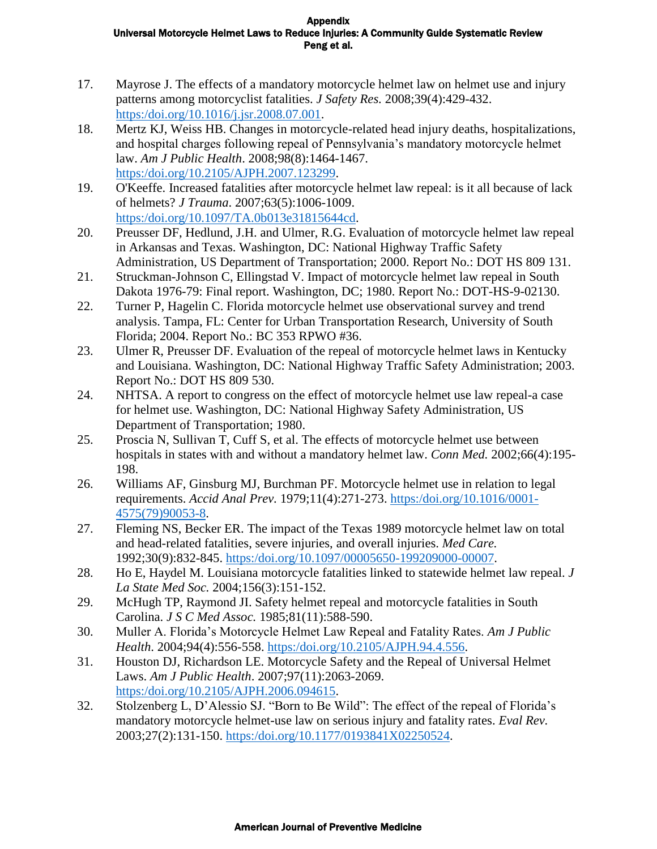- 17. Mayrose J. The effects of a mandatory motorcycle helmet law on helmet use and injury patterns among motorcyclist fatalities. *J Safety Res.* 2008;39(4):429-432. [https:/doi.org/10.1016/j.jsr.2008.07.001.](https://doi.org/10.1016/j.jsr.2008.07.001)
- 18. Mertz KJ, Weiss HB. Changes in motorcycle-related head injury deaths, hospitalizations, and hospital charges following repeal of Pennsylvania's mandatory motorcycle helmet law. *Am J Public Health*. 2008;98(8):1464-1467. [https:/doi.org/10.2105/AJPH.2007.123299.](https://doi.org/10.2105/AJPH.2007.123299)
- 19. O'Keeffe. Increased fatalities after motorcycle helmet law repeal: is it all because of lack of helmets? *J Trauma*. 2007;63(5):1006-1009. [https:/doi.org/10.1097/TA.0b013e31815644cd.](https://doi.org/10.1097/TA.0b013e31815644cd)
- 20. Preusser DF, Hedlund, J.H. and Ulmer, R.G. Evaluation of motorcycle helmet law repeal in Arkansas and Texas. Washington, DC: National Highway Traffic Safety Administration, US Department of Transportation; 2000. Report No.: DOT HS 809 131.
- 21. Struckman-Johnson C, Ellingstad V. Impact of motorcycle helmet law repeal in South Dakota 1976-79: Final report. Washington, DC; 1980. Report No.: DOT-HS-9-02130.
- 22. Turner P, Hagelin C. Florida motorcycle helmet use observational survey and trend analysis. Tampa, FL: Center for Urban Transportation Research, University of South Florida; 2004. Report No.: BC 353 RPWO #36.
- 23. Ulmer R, Preusser DF. Evaluation of the repeal of motorcycle helmet laws in Kentucky and Louisiana. Washington, DC: National Highway Traffic Safety Administration; 2003. Report No.: DOT HS 809 530.
- 24. NHTSA. A report to congress on the effect of motorcycle helmet use law repeal-a case for helmet use. Washington, DC: National Highway Safety Administration, US Department of Transportation; 1980.
- 25. Proscia N, Sullivan T, Cuff S, et al. The effects of motorcycle helmet use between hospitals in states with and without a mandatory helmet law. *Conn Med.* 2002;66(4):195- 198.
- 26. Williams AF, Ginsburg MJ, Burchman PF. Motorcycle helmet use in relation to legal requirements. *Accid Anal Prev.* 1979;11(4):271-273. [https:/doi.org/10.1016/0001-](https://doi.org/10.1016/0001-4575(79)90053-8) [4575\(79\)90053-8.](https://doi.org/10.1016/0001-4575(79)90053-8)
- 27. Fleming NS, Becker ER. The impact of the Texas 1989 motorcycle helmet law on total and head-related fatalities, severe injuries, and overall injuries. *Med Care.* 1992;30(9):832-845. [https:/doi.org/10.1097/00005650-199209000-00007.](https://doi.org/10.1097/00005650-199209000-00007)
- 28. Ho E, Haydel M. Louisiana motorcycle fatalities linked to statewide helmet law repeal. *J La State Med Soc.* 2004;156(3):151-152.
- 29. McHugh TP, Raymond JI. Safety helmet repeal and motorcycle fatalities in South Carolina. *J S C Med Assoc.* 1985;81(11):588-590.
- 30. Muller A. Florida's Motorcycle Helmet Law Repeal and Fatality Rates. *Am J Public Health*. 2004;94(4):556-558. [https:/doi.org/10.2105/AJPH.94.4.556.](https://doi.org/10.2105/AJPH.94.4.556)
- 31. Houston DJ, Richardson LE. Motorcycle Safety and the Repeal of Universal Helmet Laws. *Am J Public Health*. 2007;97(11):2063-2069. [https:/doi.org/10.2105/AJPH.2006.094615.](https://doi.org/10.2105/AJPH.2006.094615)
- 32. Stolzenberg L, D'Alessio SJ. "Born to Be Wild": The effect of the repeal of Florida's mandatory motorcycle helmet-use law on serious injury and fatality rates. *Eval Rev.* 2003;27(2):131-150. [https:/doi.org/10.1177/0193841X02250524.](https://doi.org/10.1177/0193841X02250524)